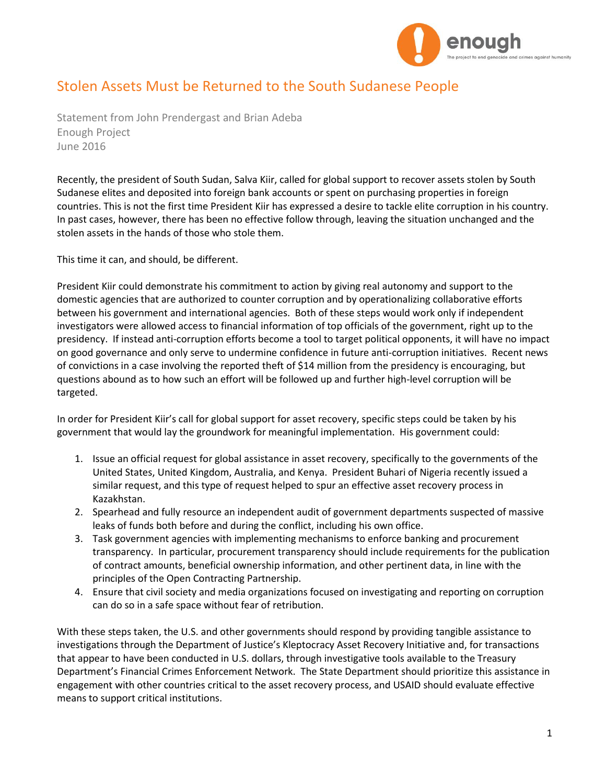

## Stolen Assets Must be Returned to the South Sudanese People

Statement from John Prendergast and Brian Adeba Enough Project June 2016

Recently, the president of South Sudan, Salva Kiir, called for global support to recover assets stolen by South Sudanese elites and deposited into foreign bank accounts or spent on purchasing properties in foreign countries. This is not the first time President Kiir has expressed a desire to tackle elite corruption in his country. In past cases, however, there has been no effective follow through, leaving the situation unchanged and the stolen assets in the hands of those who stole them.

This time it can, and should, be different.

President Kiir could demonstrate his commitment to action by giving real autonomy and support to the domestic agencies that are authorized to counter corruption and by operationalizing collaborative efforts between his government and international agencies. Both of these steps would work only if independent investigators were allowed access to financial information of top officials of the government, right up to the presidency. If instead anti-corruption efforts become a tool to target political opponents, it will have no impact on good governance and only serve to undermine confidence in future anti-corruption initiatives. Recent news of convictions in a case involving the reported theft of \$14 million from the presidency is encouraging, but questions abound as to how such an effort will be followed up and further high-level corruption will be targeted.

In order for President Kiir's call for global support for asset recovery, specific steps could be taken by his government that would lay the groundwork for meaningful implementation. His government could:

- 1. Issue an official request for global assistance in asset recovery, specifically to the governments of the United States, United Kingdom, Australia, and Kenya. President Buhari of Nigeria recently issued a similar request, and this type of request helped to spur an effective asset recovery process in Kazakhstan.
- 2. Spearhead and fully resource an independent audit of government departments suspected of massive leaks of funds both before and during the conflict, including his own office.
- 3. Task government agencies with implementing mechanisms to enforce banking and procurement transparency. In particular, procurement transparency should include requirements for the publication of contract amounts, beneficial ownership information, and other pertinent data, in line with the principles of the Open Contracting Partnership.
- 4. Ensure that civil society and media organizations focused on investigating and reporting on corruption can do so in a safe space without fear of retribution.

With these steps taken, the U.S. and other governments should respond by providing tangible assistance to investigations through the Department of Justice's Kleptocracy Asset Recovery Initiative and, for transactions that appear to have been conducted in U.S. dollars, through investigative tools available to the Treasury Department's Financial Crimes Enforcement Network. The State Department should prioritize this assistance in engagement with other countries critical to the asset recovery process, and USAID should evaluate effective means to support critical institutions.